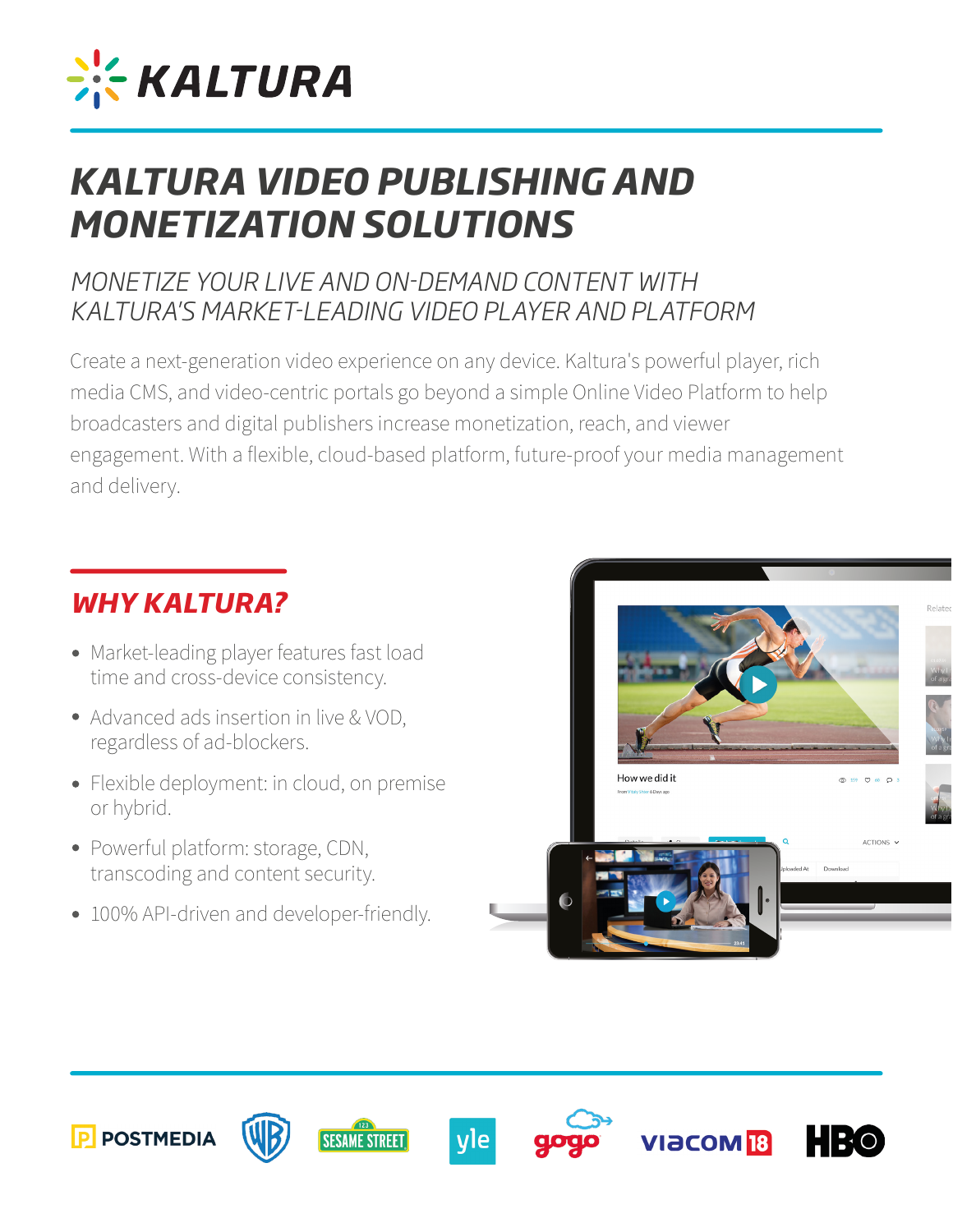

# *KALTURA VIDEO PUBLISHING AND MONETIZATION SOLUTIONS*

### *MONETIZE YOUR LIVE AND ON-DEMAND CONTENT WITH KALTURA'S MARKET-LEADING VIDEO PLAYER AND PLATFORM*

Create a next-generation video experience on any device. Kaltura's powerful player, rich media CMS, and video-centric portals go beyond a simple Online Video Platform to help broadcasters and digital publishers increase monetization, reach, and viewer engagement. With a flexible, cloud-based platform, future-proof your media management and delivery.

## *WHY KALTURA?*

- Market-leading player features fast load time and cross-device consistency. Ĭ
- Advanced ads insertion in live & VOD, regardless of ad-blockers.
- Flexible deployment: in cloud, on premise or hybrid.
- Powerful platform: storage, CDN, transcoding and content security.
- 100% API-driven and developer-friendly.